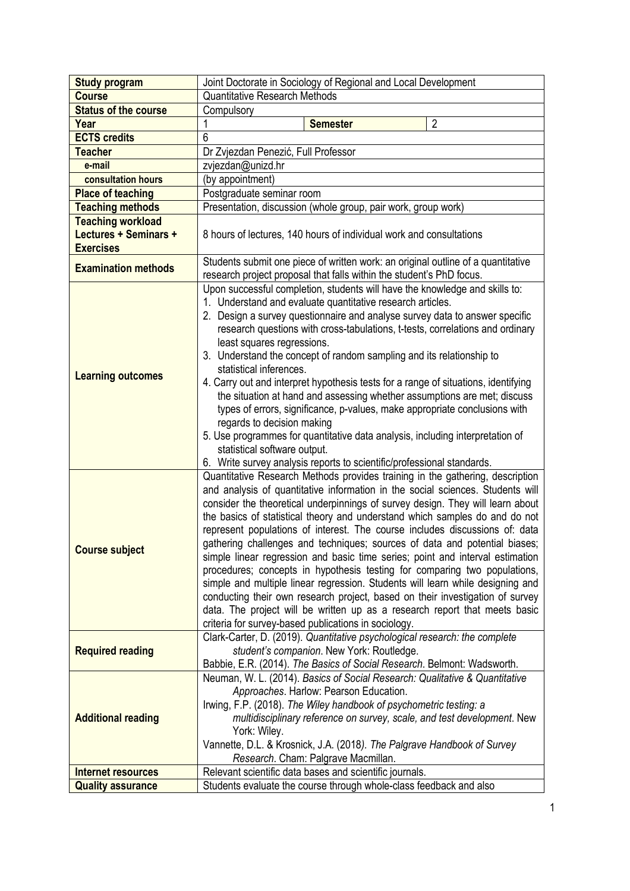| <b>Study program</b>        | Joint Doctorate in Sociology of Regional and Local Development                                                       |
|-----------------------------|----------------------------------------------------------------------------------------------------------------------|
| <b>Course</b>               | <b>Quantitative Research Methods</b>                                                                                 |
| <b>Status of the course</b> | Compulsory                                                                                                           |
| Year                        | $\overline{2}$<br><b>Semester</b>                                                                                    |
| <b>ECTS</b> credits         | 6                                                                                                                    |
| <b>Teacher</b>              | Dr Zvjezdan Penezić, Full Professor                                                                                  |
| e-mail                      | zvjezdan@unizd.hr                                                                                                    |
| consultation hours          | (by appointment)                                                                                                     |
| <b>Place of teaching</b>    | Postgraduate seminar room                                                                                            |
| <b>Teaching methods</b>     | Presentation, discussion (whole group, pair work, group work)                                                        |
| <b>Teaching workload</b>    |                                                                                                                      |
| Lectures + Seminars +       | 8 hours of lectures, 140 hours of individual work and consultations                                                  |
| <b>Exercises</b>            |                                                                                                                      |
| <b>Examination methods</b>  | Students submit one piece of written work: an original outline of a quantitative                                     |
|                             | research project proposal that falls within the student's PhD focus.                                                 |
| <b>Learning outcomes</b>    | Upon successful completion, students will have the knowledge and skills to:                                          |
|                             | 1. Understand and evaluate quantitative research articles.                                                           |
|                             | 2. Design a survey questionnaire and analyse survey data to answer specific                                          |
|                             | research questions with cross-tabulations, t-tests, correlations and ordinary                                        |
|                             | least squares regressions.                                                                                           |
|                             | 3. Understand the concept of random sampling and its relationship to<br>statistical inferences.                      |
|                             | 4. Carry out and interpret hypothesis tests for a range of situations, identifying                                   |
|                             | the situation at hand and assessing whether assumptions are met; discuss                                             |
|                             | types of errors, significance, p-values, make appropriate conclusions with                                           |
|                             | regards to decision making                                                                                           |
|                             | 5. Use programmes for quantitative data analysis, including interpretation of                                        |
|                             | statistical software output.                                                                                         |
|                             | 6. Write survey analysis reports to scientific/professional standards.                                               |
|                             | Quantitative Research Methods provides training in the gathering, description                                        |
|                             | and analysis of quantitative information in the social sciences. Students will                                       |
|                             | consider the theoretical underpinnings of survey design. They will learn about                                       |
|                             | the basics of statistical theory and understand which samples do and do not                                          |
| <b>Course subject</b>       | represent populations of interest. The course includes discussions of: data                                          |
|                             | gathering challenges and techniques; sources of data and potential biases;                                           |
|                             | simple linear regression and basic time series; point and interval estimation                                        |
|                             | procedures; concepts in hypothesis testing for comparing two populations,                                            |
|                             | simple and multiple linear regression. Students will learn while designing and                                       |
|                             | conducting their own research project, based on their investigation of survey                                        |
|                             | data. The project will be written up as a research report that meets basic                                           |
|                             | criteria for survey-based publications in sociology.                                                                 |
| <b>Required reading</b>     | Clark-Carter, D. (2019). Quantitative psychological research: the complete                                           |
|                             | student's companion. New York: Routledge.<br>Babbie, E.R. (2014). The Basics of Social Research. Belmont: Wadsworth. |
| <b>Additional reading</b>   | Neuman, W. L. (2014). Basics of Social Research: Qualitative & Quantitative                                          |
|                             | Approaches. Harlow: Pearson Education.                                                                               |
|                             | Irwing, F.P. (2018). The Wiley handbook of psychometric testing: a                                                   |
|                             | multidisciplinary reference on survey, scale, and test development. New                                              |
|                             | York: Wiley.                                                                                                         |
|                             | Vannette, D.L. & Krosnick, J.A. (2018). The Palgrave Handbook of Survey                                              |
|                             | Research. Cham: Palgrave Macmillan.                                                                                  |
| <b>Internet resources</b>   | Relevant scientific data bases and scientific journals.                                                              |
| <b>Quality assurance</b>    | Students evaluate the course through whole-class feedback and also                                                   |